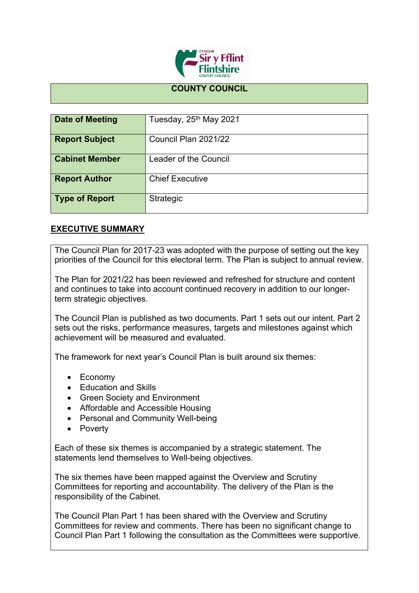

## **COUNTY COUNCIL**

| Date of Meeting       | Tuesday, 25 <sup>th</sup> May 2021 |
|-----------------------|------------------------------------|
| <b>Report Subject</b> | Council Plan 2021/22               |
| <b>Cabinet Member</b> | Leader of the Council              |
| <b>Report Author</b>  | <b>Chief Executive</b>             |
| <b>Type of Report</b> | Strategic                          |

## **EXECUTIVE SUMMARY**

The Council Plan for 2017-23 was adopted with the purpose of setting out the key priorities of the Council for this electoral term. The Plan is subject to annual review.

The Plan for 2021/22 has been reviewed and refreshed for structure and content and continues to take into account continued recovery in addition to our longerterm strategic objectives.

The Council Plan is published as two documents. Part 1 sets out our intent. Part 2 sets out the risks, performance measures, targets and milestones against which achievement will be measured and evaluated.

The framework for next year's Council Plan is built around six themes:

- Economy
- Education and Skills
- Green Society and Environment
- Affordable and Accessible Housing
- Personal and Community Well-being
- Poverty

Each of these six themes is accompanied by a strategic statement. The statements lend themselves to Well-being objectives.

The six themes have been mapped against the Overview and Scrutiny Committees for reporting and accountability. The delivery of the Plan is the responsibility of the Cabinet.

The Council Plan Part 1 has been shared with the Overview and Scrutiny Committees for review and comments. There has been no significant change to Council Plan Part 1 following the consultation as the Committees were supportive.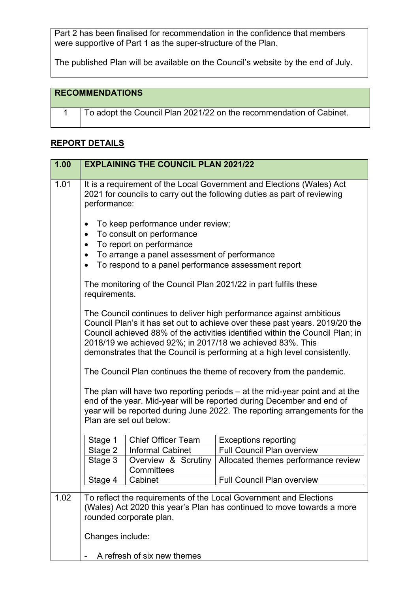Part 2 has been finalised for recommendation in the confidence that members were supportive of Part 1 as the super-structure of the Plan.

The published Plan will be available on the Council's website by the end of July.

## **RECOMMENDATIONS**

| To adopt the Council Plan 2021/22 on the recommendation of Cabinet. |
|---------------------------------------------------------------------|
|                                                                     |

## **REPORT DETAILS**

| 1.00 |                                                               | <b>EXPLAINING THE COUNCIL PLAN 2021/22</b>                                                                                                                                                        |                                                                                                                                                                                                                                                                                                                                                                               |
|------|---------------------------------------------------------------|---------------------------------------------------------------------------------------------------------------------------------------------------------------------------------------------------|-------------------------------------------------------------------------------------------------------------------------------------------------------------------------------------------------------------------------------------------------------------------------------------------------------------------------------------------------------------------------------|
| 1.01 | performance:                                                  |                                                                                                                                                                                                   | It is a requirement of the Local Government and Elections (Wales) Act<br>2021 for councils to carry out the following duties as part of reviewing                                                                                                                                                                                                                             |
|      | $\bullet$<br>$\bullet$<br>$\bullet$<br>$\bullet$<br>$\bullet$ | To keep performance under review;<br>To consult on performance<br>To report on performance<br>To arrange a panel assessment of performance<br>To respond to a panel performance assessment report |                                                                                                                                                                                                                                                                                                                                                                               |
|      | requirements.                                                 |                                                                                                                                                                                                   | The monitoring of the Council Plan 2021/22 in part fulfils these                                                                                                                                                                                                                                                                                                              |
|      |                                                               |                                                                                                                                                                                                   | The Council continues to deliver high performance against ambitious<br>Council Plan's it has set out to achieve over these past years. 2019/20 the<br>Council achieved 88% of the activities identified within the Council Plan; in<br>2018/19 we achieved 92%; in 2017/18 we achieved 83%. This<br>demonstrates that the Council is performing at a high level consistently. |
|      |                                                               |                                                                                                                                                                                                   | The Council Plan continues the theme of recovery from the pandemic.                                                                                                                                                                                                                                                                                                           |
|      |                                                               | Plan are set out below:                                                                                                                                                                           | The plan will have two reporting periods $-$ at the mid-year point and at the<br>end of the year. Mid-year will be reported during December and end of<br>year will be reported during June 2022. The reporting arrangements for the                                                                                                                                          |
|      | Stage 1                                                       | <b>Chief Officer Team</b>                                                                                                                                                                         | <b>Exceptions reporting</b>                                                                                                                                                                                                                                                                                                                                                   |
|      | Stage 2                                                       | <b>Informal Cabinet</b>                                                                                                                                                                           | <b>Full Council Plan overview</b>                                                                                                                                                                                                                                                                                                                                             |
|      | Stage 3                                                       | Overview & Scrutiny<br>Committees                                                                                                                                                                 | Allocated themes performance review                                                                                                                                                                                                                                                                                                                                           |
|      | Stage 4                                                       | Cabinet                                                                                                                                                                                           | <b>Full Council Plan overview</b>                                                                                                                                                                                                                                                                                                                                             |
| 1.02 | Changes include:                                              | rounded corporate plan.                                                                                                                                                                           | To reflect the requirements of the Local Government and Elections<br>(Wales) Act 2020 this year's Plan has continued to move towards a more                                                                                                                                                                                                                                   |
|      |                                                               | A refresh of six new themes                                                                                                                                                                       |                                                                                                                                                                                                                                                                                                                                                                               |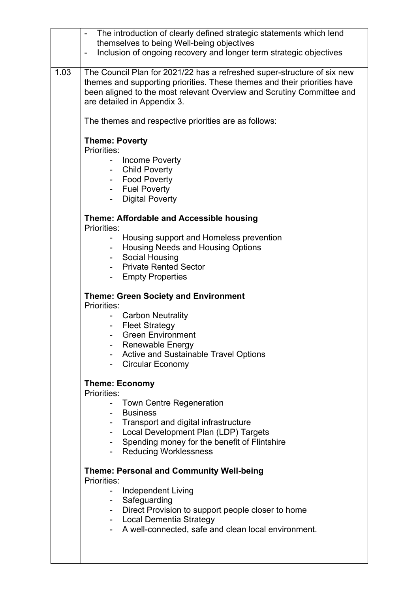|      | The introduction of clearly defined strategic statements which lend<br>themselves to being Well-being objectives<br>Inclusion of ongoing recovery and longer term strategic objectives<br>$\overline{\phantom{a}}$                                          |
|------|-------------------------------------------------------------------------------------------------------------------------------------------------------------------------------------------------------------------------------------------------------------|
| 1.03 | The Council Plan for 2021/22 has a refreshed super-structure of six new<br>themes and supporting priorities. These themes and their priorities have<br>been aligned to the most relevant Overview and Scrutiny Committee and<br>are detailed in Appendix 3. |
|      | The themes and respective priorities are as follows:                                                                                                                                                                                                        |
|      | <b>Theme: Poverty</b><br>Priorities:<br><b>Income Poverty</b><br>$\sim$ 10 $\pm$<br>- Child Poverty<br>- Food Poverty<br>- Fuel Poverty<br><b>Digital Poverty</b>                                                                                           |
|      | Theme: Affordable and Accessible housing<br>Priorities:                                                                                                                                                                                                     |
|      | Housing support and Homeless prevention<br><b>Housing Needs and Housing Options</b><br>$\sim$<br>Social Housing<br>- Private Rented Sector<br><b>Empty Properties</b><br>$\sim$                                                                             |
|      | <b>Theme: Green Society and Environment</b><br>Priorities:                                                                                                                                                                                                  |
|      | <b>Carbon Neutrality</b><br>Ξ.<br><b>Fleet Strategy</b><br><b>Green Environment</b><br>Renewable Energy<br><b>Active and Sustainable Travel Options</b><br>Circular Economy                                                                                 |
|      | <b>Theme: Economy</b><br>Priorities:                                                                                                                                                                                                                        |
|      | <b>Town Centre Regeneration</b><br><b>Business</b><br>Transport and digital infrastructure<br>Local Development Plan (LDP) Targets<br>Spending money for the benefit of Flintshire<br>$\sim$<br><b>Reducing Worklessness</b>                                |
|      | <b>Theme: Personal and Community Well-being</b><br>Priorities:                                                                                                                                                                                              |
|      | <b>Independent Living</b><br>Safeguarding<br>Direct Provision to support people closer to home<br>$\sim 100$<br>- Local Dementia Strategy                                                                                                                   |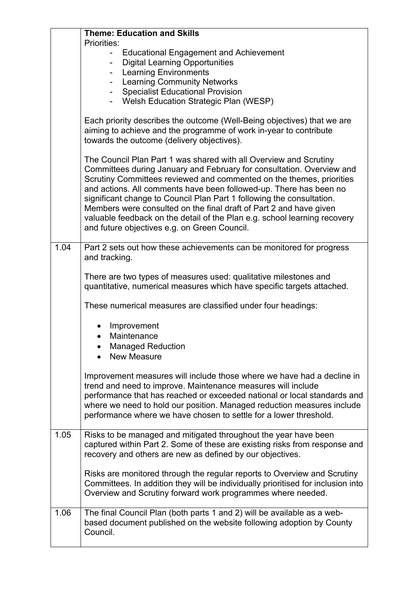|      | <b>Theme: Education and Skills</b>                                                                                                                                                                                                                                                                                                                                                                                                                                                                                                                                                                                                 |
|------|------------------------------------------------------------------------------------------------------------------------------------------------------------------------------------------------------------------------------------------------------------------------------------------------------------------------------------------------------------------------------------------------------------------------------------------------------------------------------------------------------------------------------------------------------------------------------------------------------------------------------------|
|      | Priorities:<br><b>Educational Engagement and Achievement</b><br><b>Digital Learning Opportunities</b><br>- Learning Environments<br><b>Learning Community Networks</b><br>$\overline{\phantom{0}}$<br><b>Specialist Educational Provision</b><br>Welsh Education Strategic Plan (WESP)<br>Each priority describes the outcome (Well-Being objectives) that we are<br>aiming to achieve and the programme of work in-year to contribute<br>towards the outcome (delivery objectives).<br>The Council Plan Part 1 was shared with all Overview and Scrutiny<br>Committees during January and February for consultation. Overview and |
|      | Scrutiny Committees reviewed and commented on the themes, priorities<br>and actions. All comments have been followed-up. There has been no<br>significant change to Council Plan Part 1 following the consultation.<br>Members were consulted on the final draft of Part 2 and have given<br>valuable feedback on the detail of the Plan e.g. school learning recovery<br>and future objectives e.g. on Green Council.                                                                                                                                                                                                             |
| 1.04 | Part 2 sets out how these achievements can be monitored for progress<br>and tracking.                                                                                                                                                                                                                                                                                                                                                                                                                                                                                                                                              |
|      | There are two types of measures used: qualitative milestones and<br>quantitative, numerical measures which have specific targets attached.                                                                                                                                                                                                                                                                                                                                                                                                                                                                                         |
|      | These numerical measures are classified under four headings:                                                                                                                                                                                                                                                                                                                                                                                                                                                                                                                                                                       |
|      | Improvement<br>Maintenance<br><b>Managed Reduction</b><br><b>New Measure</b>                                                                                                                                                                                                                                                                                                                                                                                                                                                                                                                                                       |
|      | Improvement measures will include those where we have had a decline in<br>trend and need to improve. Maintenance measures will include<br>performance that has reached or exceeded national or local standards and<br>where we need to hold our position. Managed reduction measures include<br>performance where we have chosen to settle for a lower threshold.                                                                                                                                                                                                                                                                  |
| 1.05 | Risks to be managed and mitigated throughout the year have been<br>captured within Part 2. Some of these are existing risks from response and<br>recovery and others are new as defined by our objectives.                                                                                                                                                                                                                                                                                                                                                                                                                         |
|      | Risks are monitored through the regular reports to Overview and Scrutiny<br>Committees. In addition they will be individually prioritised for inclusion into<br>Overview and Scrutiny forward work programmes where needed.                                                                                                                                                                                                                                                                                                                                                                                                        |
| 1.06 | The final Council Plan (both parts 1 and 2) will be available as a web-<br>based document published on the website following adoption by County<br>Council.                                                                                                                                                                                                                                                                                                                                                                                                                                                                        |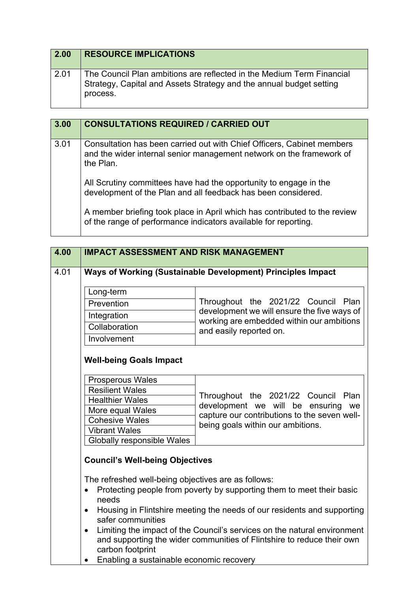| $\vert$ 2.00 | <b>RESOURCE IMPLICATIONS</b>                                                                                                                             |
|--------------|----------------------------------------------------------------------------------------------------------------------------------------------------------|
| 2.01         | The Council Plan ambitions are reflected in the Medium Term Financial<br>Strategy, Capital and Assets Strategy and the annual budget setting<br>process. |

| 3.00 | <b>CONSULTATIONS REQUIRED / CARRIED OUT</b>                                                                                                                 |
|------|-------------------------------------------------------------------------------------------------------------------------------------------------------------|
| 3.01 | Consultation has been carried out with Chief Officers, Cabinet members<br>and the wider internal senior management network on the framework of<br>the Plan. |
|      | All Scrutiny committees have had the opportunity to engage in the<br>development of the Plan and all feedback has been considered.                          |
|      | A member briefing took place in April which has contributed to the review<br>of the range of performance indicators available for reporting.                |

| 4.00 | <b>IMPACT ASSESSMENT AND RISK MANAGEMENT</b>                              |                                                                                                                                                    |
|------|---------------------------------------------------------------------------|----------------------------------------------------------------------------------------------------------------------------------------------------|
| 4.01 |                                                                           | Ways of Working (Sustainable Development) Principles Impact                                                                                        |
|      | Long-term                                                                 |                                                                                                                                                    |
|      | Prevention                                                                | Throughout the 2021/22 Council Plan                                                                                                                |
|      | Integration                                                               | development we will ensure the five ways of<br>working are embedded within our ambitions                                                           |
|      | Collaboration                                                             | and easily reported on.                                                                                                                            |
|      | Involvement                                                               |                                                                                                                                                    |
|      | <b>Well-being Goals Impact</b>                                            |                                                                                                                                                    |
|      | <b>Prosperous Wales</b>                                                   |                                                                                                                                                    |
|      | <b>Resilient Wales</b>                                                    | Throughout the 2021/22 Council Plan                                                                                                                |
|      | <b>Healthier Wales</b>                                                    | development we will be ensuring<br>we                                                                                                              |
|      | More equal Wales                                                          | capture our contributions to the seven well-                                                                                                       |
|      | <b>Cohesive Wales</b>                                                     | being goals within our ambitions.                                                                                                                  |
|      | <b>Vibrant Wales</b>                                                      |                                                                                                                                                    |
|      | Globally responsible Wales                                                |                                                                                                                                                    |
|      | <b>Council's Well-being Objectives</b>                                    |                                                                                                                                                    |
|      | The refreshed well-being objectives are as follows:<br>$\bullet$<br>needs | Protecting people from poverty by supporting them to meet their basic                                                                              |
|      | $\bullet$<br>safer communities                                            | Housing in Flintshire meeting the needs of our residents and supporting                                                                            |
|      | $\bullet$<br>carbon footprint                                             | Limiting the impact of the Council's services on the natural environment<br>and supporting the wider communities of Flintshire to reduce their own |
|      | Enabling a sustainable economic recovery                                  |                                                                                                                                                    |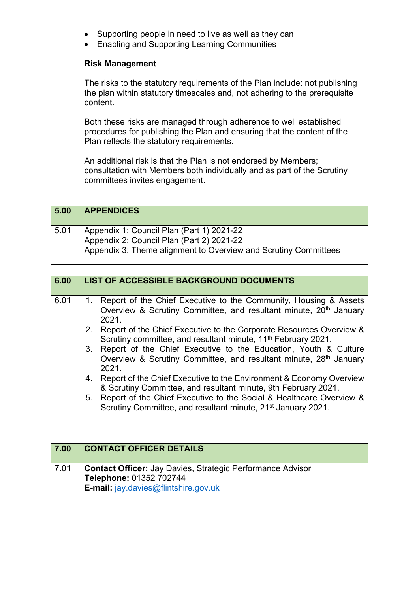| Supporting people in need to live as well as they can<br>$\bullet$<br><b>Enabling and Supporting Learning Communities</b>                                                                  |
|--------------------------------------------------------------------------------------------------------------------------------------------------------------------------------------------|
| <b>Risk Management</b>                                                                                                                                                                     |
| The risks to the statutory requirements of the Plan include: not publishing<br>the plan within statutory timescales and, not adhering to the prerequisite<br>content.                      |
| Both these risks are managed through adherence to well established<br>procedures for publishing the Plan and ensuring that the content of the<br>Plan reflects the statutory requirements. |
| An additional risk is that the Plan is not endorsed by Members;<br>consultation with Members both individually and as part of the Scrutiny<br>committees invites engagement.               |
|                                                                                                                                                                                            |

| 5.00 | <b>APPENDICES</b>                                                                                                                                           |
|------|-------------------------------------------------------------------------------------------------------------------------------------------------------------|
| 5.01 | Appendix 1: Council Plan (Part 1) 2021-22<br>Appendix 2: Council Plan $(Part 2)$ 2021-22<br>Appendix 3: Theme alignment to Overview and Scrutiny Committees |

| 6.00 | <b>LIST OF ACCESSIBLE BACKGROUND DOCUMENTS</b>                                                                                                                |
|------|---------------------------------------------------------------------------------------------------------------------------------------------------------------|
| 6.01 | 1. Report of the Chief Executive to the Community, Housing & Assets<br>Overview & Scrutiny Committee, and resultant minute, 20 <sup>th</sup> January<br>2021. |
|      | 2. Report of the Chief Executive to the Corporate Resources Overview &<br>Scrutiny committee, and resultant minute, 11 <sup>th</sup> February 2021.           |
|      | 3. Report of the Chief Executive to the Education, Youth & Culture<br>Overview & Scrutiny Committee, and resultant minute, 28th January<br>2021.              |
|      | 4. Report of the Chief Executive to the Environment & Economy Overview<br>& Scrutiny Committee, and resultant minute, 9th February 2021.                      |
|      | 5. Report of the Chief Executive to the Social & Healthcare Overview &<br>Scrutiny Committee, and resultant minute, 21 <sup>st</sup> January 2021.            |

| 7.00 | <b>CONTACT OFFICER DETAILS</b>                                                                                                       |
|------|--------------------------------------------------------------------------------------------------------------------------------------|
| 7.01 | <b>Contact Officer:</b> Jay Davies, Strategic Performance Advisor<br>Telephone: 01352 702744<br>E-mail: jay.davies@flintshire.gov.uk |